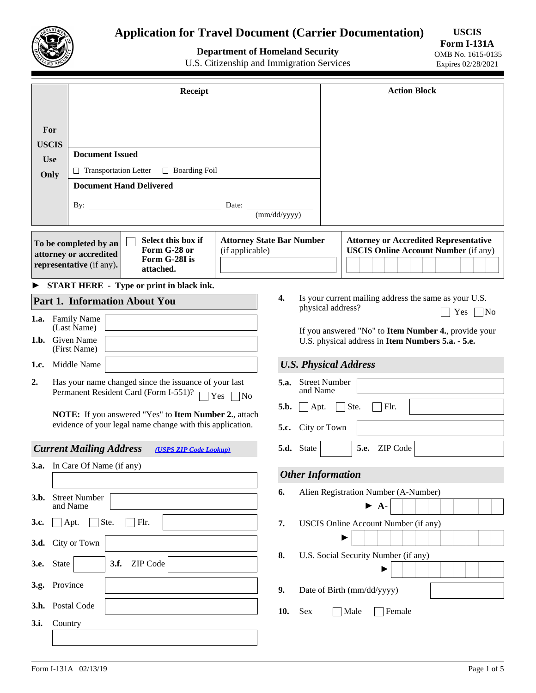

# **Application for Travel Document (Carrier Documentation)**

**Department of Homeland Security** 

**USCIS Form I-131A** 

U.S. Citizenship and Immigration Services

OMB No. 1615-0135 Expires 02/28/2021

|                    | Receipt                                                                                                                                         | <b>Action Block</b>                                                                                                                                |  |  |  |  |  |  |
|--------------------|-------------------------------------------------------------------------------------------------------------------------------------------------|----------------------------------------------------------------------------------------------------------------------------------------------------|--|--|--|--|--|--|
|                    |                                                                                                                                                 |                                                                                                                                                    |  |  |  |  |  |  |
| For                |                                                                                                                                                 |                                                                                                                                                    |  |  |  |  |  |  |
| <b>USCIS</b>       | <b>Document Issued</b>                                                                                                                          |                                                                                                                                                    |  |  |  |  |  |  |
| <b>Use</b><br>Only | $\Box$ Transportation Letter<br>$\Box$ Boarding Foil                                                                                            |                                                                                                                                                    |  |  |  |  |  |  |
|                    | <b>Document Hand Delivered</b>                                                                                                                  |                                                                                                                                                    |  |  |  |  |  |  |
|                    | By: $\overline{\phantom{0}}$                                                                                                                    | Date:                                                                                                                                              |  |  |  |  |  |  |
|                    |                                                                                                                                                 | (mm/dd/yyyy)                                                                                                                                       |  |  |  |  |  |  |
|                    | Select this box if<br>To be completed by an<br>Form G-28 or<br>attorney or accredited<br>Form G-28I is<br>representative (if any).<br>attached. | <b>Attorney State Bar Number</b><br><b>Attorney or Accredited Representative</b><br><b>USCIS Online Account Number (if any)</b><br>(if applicable) |  |  |  |  |  |  |
|                    | START HERE - Type or print in black ink.                                                                                                        |                                                                                                                                                    |  |  |  |  |  |  |
|                    | <b>Part 1. Information About You</b>                                                                                                            | 4.<br>Is your current mailing address the same as your U.S.<br>physical address?                                                                   |  |  |  |  |  |  |
|                    | 1.a. Family Name                                                                                                                                | $Yes \n\bigcap No$                                                                                                                                 |  |  |  |  |  |  |
|                    | 1.b. Given Name<br>(First Name)                                                                                                                 | (Last Name)<br>If you answered "No" to Item Number 4., provide your<br>U.S. physical address in Item Numbers 5.a. - 5.e.                           |  |  |  |  |  |  |
| 1.c.               | Middle Name                                                                                                                                     | <b>U.S. Physical Address</b>                                                                                                                       |  |  |  |  |  |  |
| 2.                 | Has your name changed since the issuance of your last                                                                                           | <b>Street Number</b><br>5.a.                                                                                                                       |  |  |  |  |  |  |
|                    | Permanent Resident Card (Form I-551)? $\Box$ Yes $\Box$ No                                                                                      | and Name<br>5.b.<br>$\Box$ Ste.<br>Flr.<br>$\Box$ Apt.                                                                                             |  |  |  |  |  |  |
|                    | NOTE: If you answered "Yes" to Item Number 2., attach<br>evidence of your legal name change with this application.                              | City or Town<br>5.c.                                                                                                                               |  |  |  |  |  |  |
|                    |                                                                                                                                                 |                                                                                                                                                    |  |  |  |  |  |  |
|                    | <b>Current Mailing Address</b><br>(USPS ZIP Code Lookup)                                                                                        | 5.d. State<br>ZIP Code<br>5.e.<br>$\blacktriangledown$                                                                                             |  |  |  |  |  |  |
|                    |                                                                                                                                                 | <b>3.a.</b> In Care Of Name (if any)<br><b>Other Information</b>                                                                                   |  |  |  |  |  |  |
| 3.b.               | <b>Street Number</b><br>and Name                                                                                                                | Alien Registration Number (A-Number)<br>6.<br>$\blacktriangleright$ A-                                                                             |  |  |  |  |  |  |
| 3.c.               | Ste.<br>Apt.<br>Flr.                                                                                                                            | 7.<br>USCIS Online Account Number (if any)                                                                                                         |  |  |  |  |  |  |
|                    | 3.d. City or Town                                                                                                                               |                                                                                                                                                    |  |  |  |  |  |  |
| 3.e.               | 3.f.<br>ZIP Code<br><b>State</b><br>$\blacktriangledown$                                                                                        | U.S. Social Security Number (if any)<br>8.                                                                                                         |  |  |  |  |  |  |
| 3.g.               | Province                                                                                                                                        | 9.<br>Date of Birth (mm/dd/yyyy)                                                                                                                   |  |  |  |  |  |  |
| 3.h.               | Postal Code                                                                                                                                     | 10.<br>$\operatorname{Sex}$<br>Male<br>Female                                                                                                      |  |  |  |  |  |  |
| 3.i.               | Country                                                                                                                                         |                                                                                                                                                    |  |  |  |  |  |  |
|                    |                                                                                                                                                 |                                                                                                                                                    |  |  |  |  |  |  |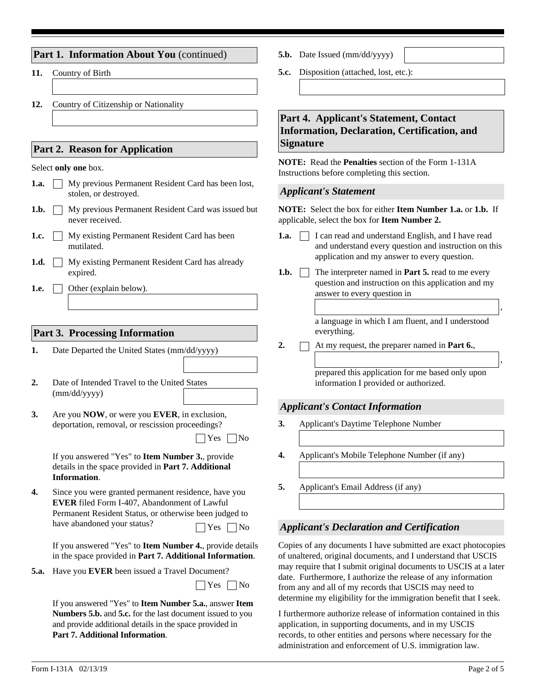|  | Part 1. Information About You (continued) |  |  |
|--|-------------------------------------------|--|--|
|--|-------------------------------------------|--|--|

- **11.** Country of Birth
- **12.** Country of Citizenship or Nationality

### **Part 2. Reason for Application**

#### Select **only one** box.

- My previous Permanent Resident Card has been lost, **1.a.** stolen, or destroyed.
- **1.b.** My previous Permanent Resident Card was issued but never received.
- My existing Permanent Resident Card has been mutilated. **1.c.**
- **1.d.** My existing Permanent Resident Card has already expired.
- Other (explain below). **1.e.**

#### **Part 3. Processing Information**

- **1.** Date Departed the United States (mm/dd/yyyy)
- Date of Intended Travel to the United States (mm/dd/yyyy) **2.**
- Are you **NOW**, or were you **EVER**, in exclusion, deportation, removal, or rescission proceedings? **3.**

| Nο |
|----|
|    |

If you answered "Yes" to **Item Number 3.**, provide details in the space provided in **Part 7. Additional Information**.

Since you were granted permanent residence, have you **EVER** filed Form I-407, Abandonment of Lawful Permanent Resident Status, or otherwise been judged to have abandoned your status?  $\Box$  Yes  $\Box$  No **4.**

If you answered "Yes" to **Item Number 4.**, provide details in the space provided in **Part 7. Additional Information**.

**5.a.** Have you **EVER** been issued a Travel Document?

 $\Box$  Yes  $\Box$  No

If you answered "Yes" to **Item Number 5.a.**, answer **Item Numbers 5.b.** and **5.c.** for the last document issued to you and provide additional details in the space provided in **Part 7. Additional Information**.

- **5.b.** Date Issued (mm/dd/yyyy)
- **5.c.** Disposition (attached, lost, etc.):

# **Part 4. Applicant's Statement, Contact Information, Declaration, Certification, and Signature**

**NOTE:** Read the **Penalties** section of the Form 1-131A Instructions before completing this section.

#### *Applicant's Statement*

**NOTE:** Select the box for either **Item Number 1.a.** or **1.b.** If applicable, select the box for **Item Number 2.**

- **1.a.** I can read and understand English, and I have read and understand every question and instruction on this application and my answer to every question.
- The interpreter named in **Part 5.** read to me every question and instruction on this application and my answer to every question in 1.b.  $\Box$

a language in which I am fluent, and I understood everything.

**2.** At my request, the preparer named in **Part 6.**,

prepared this application for me based only upon information I provided or authorized.

#### *Applicant's Contact Information*

- **3.** Applicant's Daytime Telephone Number
- **4.** Applicant's Mobile Telephone Number (if any)
- **5.** Applicant's Email Address (if any)

#### *Applicant's Declaration and Certification*

Copies of any documents I have submitted are exact photocopies of unaltered, original documents, and I understand that USCIS may require that I submit original documents to USCIS at a later date. Furthermore, I authorize the release of any information from any and all of my records that USCIS may need to determine my eligibility for the immigration benefit that I seek.

I furthermore authorize release of information contained in this application, in supporting documents, and in my USCIS records, to other entities and persons where necessary for the administration and enforcement of U.S. immigration law.

,

,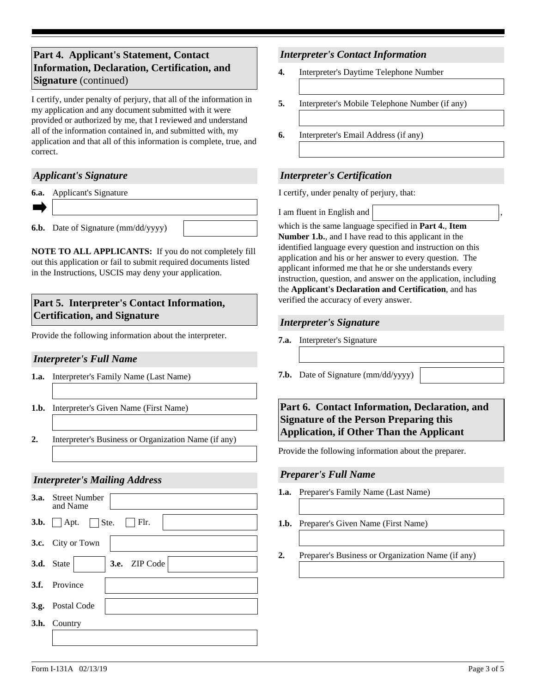# **Part 4. Applicant's Statement, Contact Information, Declaration, Certification, and Signature** (continued)

I certify, under penalty of perjury, that all of the information in my application and any document submitted with it were provided or authorized by me, that I reviewed and understand all of the information contained in, and submitted with, my application and that all of this information is complete, true, and correct.

# *Applicant's Signature*

**6.a.** Applicant's Signature

**6.b.** Date of Signature (mm/dd/yyyy)

**NOTE TO ALL APPLICANTS:** If you do not completely fill out this application or fail to submit required documents listed in the Instructions, USCIS may deny your application.

# **Part 5. Interpreter's Contact Information, Certification, and Signature**

Provide the following information about the interpreter. **7.a.** Interpreter's Signature

### *Interpreter's Full Name*

- **1.a.** Interpreter's Family Name (Last Name)
- **1.b.** Interpreter's Given Name (First Name)
- **2.** Interpreter's Business or Organization Name (if any)

# *Interpreter's Mailing Address*



### *Interpreter's Contact Information*

- **4.** Interpreter's Daytime Telephone Number
- **5.** Interpreter's Mobile Telephone Number (if any)
- **6.** Interpreter's Email Address (if any)

# *Interpreter's Certification*

I certify, under penalty of perjury, that:

I am fluent in English and ,

which is the same language specified in **Part 4.**, **Item Number 1.b.**, and I have read to this applicant in the identified language every question and instruction on this application and his or her answer to every question. The applicant informed me that he or she understands every instruction, question, and answer on the application, including the **Applicant's Declaration and Certification**, and has verified the accuracy of every answer.

### *Interpreter's Signature*

- 
- **7.b.** Date of Signature (mm/dd/yyyy)

# **Part 6. Contact Information, Declaration, and Signature of the Person Preparing this Application, if Other Than the Applicant**

Provide the following information about the preparer.

#### *Preparer's Full Name*

- **1.a.** Preparer's Family Name (Last Name)
- **1.b.** Preparer's Given Name (First Name)
- **2.** Preparer's Business or Organization Name (if any)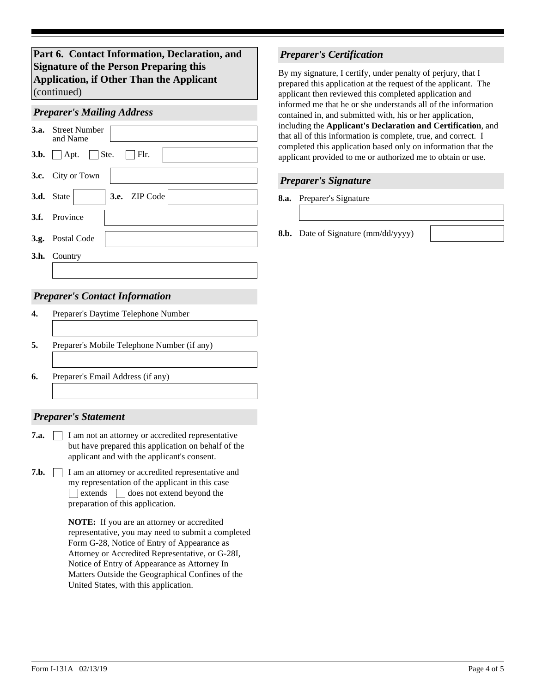**Part 6. Contact Information, Declaration, and Signature of the Person Preparing this Application, if Other Than the Applicant**  (continued)

# *Preparer's Mailing Address* **3.c.** City or Town **3.d.** State  $\blacktriangledown$  **3.e.** ZIP Code **3.f.** Postal Code Street Number and Name **3.a. 3.b.** Apt. Ste. Flr. **3.g. 3.h.** Country Province

### *Preparer's Contact Information*

#### *Preparer's Statement*

- **7.a.** I am not an attorney or accredited representative but have prepared this application on behalf of the applicant and with the applicant's consent.
- **7.b.** I am an attorney or accredited representative and my representation of the applicant in this case preparation of this application.  $\Box$  extends  $\Box$  does not extend beyond the

**NOTE:** If you are an attorney or accredited representative, you may need to submit a completed Form G-28, Notice of Entry of Appearance as Attorney or Accredited Representative, or G-28I, Notice of Entry of Appearance as Attorney In Matters Outside the Geographical Confines of the United States, with this application.

### *Preparer's Certification*

By my signature, I certify, under penalty of perjury, that I prepared this application at the request of the applicant. The applicant then reviewed this completed application and informed me that he or she understands all of the information contained in, and submitted with, his or her application, including the **Applicant's Declaration and Certification**, and that all of this information is complete, true, and correct. I completed this application based only on information that the applicant provided to me or authorized me to obtain or use.

### *Preparer's Signature*

**8.a.** Preparer's Signature

**8.b.** Date of Signature (mm/dd/yyyy)